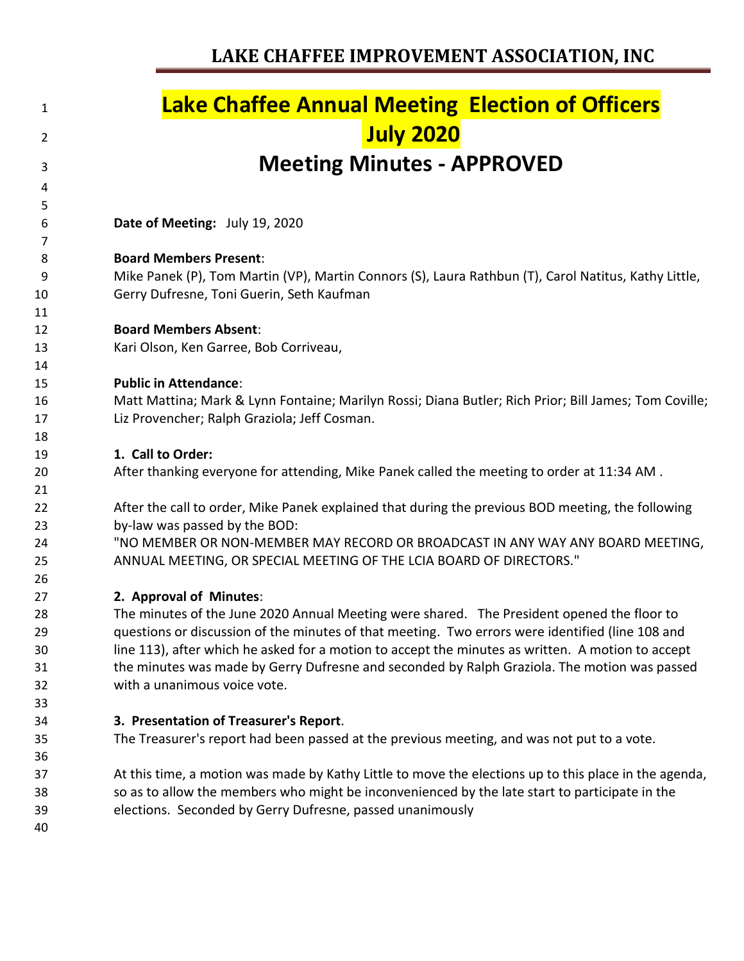| 1  | <b>Lake Chaffee Annual Meeting Election of Officers</b>                                               |
|----|-------------------------------------------------------------------------------------------------------|
| 2  | <b>July 2020</b>                                                                                      |
| 3  | <b>Meeting Minutes - APPROVED</b>                                                                     |
| 4  |                                                                                                       |
| 5  |                                                                                                       |
| 6  | Date of Meeting: July 19, 2020                                                                        |
| 7  |                                                                                                       |
| 8  | <b>Board Members Present:</b>                                                                         |
| 9  | Mike Panek (P), Tom Martin (VP), Martin Connors (S), Laura Rathbun (T), Carol Natitus, Kathy Little,  |
| 10 | Gerry Dufresne, Toni Guerin, Seth Kaufman                                                             |
| 11 |                                                                                                       |
| 12 | <b>Board Members Absent:</b>                                                                          |
| 13 | Kari Olson, Ken Garree, Bob Corriveau,                                                                |
| 14 |                                                                                                       |
| 15 | <b>Public in Attendance:</b>                                                                          |
| 16 | Matt Mattina; Mark & Lynn Fontaine; Marilyn Rossi; Diana Butler; Rich Prior; Bill James; Tom Coville; |
| 17 | Liz Provencher; Ralph Graziola; Jeff Cosman.                                                          |
| 18 |                                                                                                       |
| 19 | 1. Call to Order:                                                                                     |
| 20 | After thanking everyone for attending, Mike Panek called the meeting to order at 11:34 AM.            |
| 21 |                                                                                                       |
| 22 | After the call to order, Mike Panek explained that during the previous BOD meeting, the following     |
| 23 | by-law was passed by the BOD:                                                                         |
| 24 | "NO MEMBER OR NON-MEMBER MAY RECORD OR BROADCAST IN ANY WAY ANY BOARD MEETING,                        |
| 25 | ANNUAL MEETING, OR SPECIAL MEETING OF THE LCIA BOARD OF DIRECTORS."                                   |
| 26 |                                                                                                       |
| 27 | 2. Approval of Minutes:                                                                               |
| 28 | The minutes of the June 2020 Annual Meeting were shared. The President opened the floor to            |
| 29 | questions or discussion of the minutes of that meeting. Two errors were identified (line 108 and      |
| 30 | line 113), after which he asked for a motion to accept the minutes as written. A motion to accept     |
| 31 | the minutes was made by Gerry Dufresne and seconded by Ralph Graziola. The motion was passed          |
| 32 | with a unanimous voice vote.                                                                          |
| 33 |                                                                                                       |
| 34 | 3. Presentation of Treasurer's Report.                                                                |
| 35 | The Treasurer's report had been passed at the previous meeting, and was not put to a vote.            |
| 36 |                                                                                                       |
| 37 | At this time, a motion was made by Kathy Little to move the elections up to this place in the agenda, |
| 38 | so as to allow the members who might be inconvenienced by the late start to participate in the        |
| 39 | elections. Seconded by Gerry Dufresne, passed unanimously                                             |
| 40 |                                                                                                       |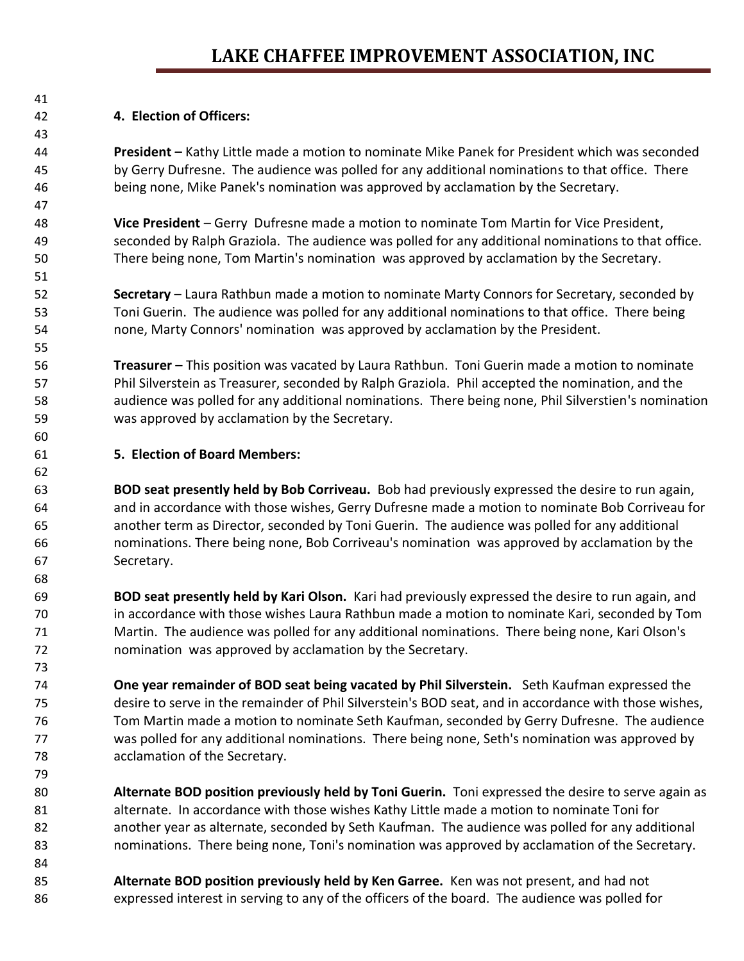## **4. Election of Officers:**

 **President –** Kathy Little made a motion to nominate Mike Panek for President which was seconded by Gerry Dufresne. The audience was polled for any additional nominations to that office. There being none, Mike Panek's nomination was approved by acclamation by the Secretary.

 **Vice President** – Gerry Dufresne made a motion to nominate Tom Martin for Vice President, seconded by Ralph Graziola. The audience was polled for any additional nominations to that office. There being none, Tom Martin's nomination was approved by acclamation by the Secretary.

 **Secretary** – Laura Rathbun made a motion to nominate Marty Connors for Secretary, seconded by Toni Guerin. The audience was polled for any additional nominations to that office. There being none, Marty Connors' nomination was approved by acclamation by the President.

 **Treasurer** – This position was vacated by Laura Rathbun. Toni Guerin made a motion to nominate Phil Silverstein as Treasurer, seconded by Ralph Graziola. Phil accepted the nomination, and the audience was polled for any additional nominations. There being none, Phil Silverstien's nomination was approved by acclamation by the Secretary.

## **5. Election of Board Members:**

 **BOD seat presently held by Bob Corriveau.** Bob had previously expressed the desire to run again, and in accordance with those wishes, Gerry Dufresne made a motion to nominate Bob Corriveau for another term as Director, seconded by Toni Guerin. The audience was polled for any additional nominations. There being none, Bob Corriveau's nomination was approved by acclamation by the Secretary.

 **BOD seat presently held by Kari Olson.** Kari had previously expressed the desire to run again, and in accordance with those wishes Laura Rathbun made a motion to nominate Kari, seconded by Tom Martin. The audience was polled for any additional nominations. There being none, Kari Olson's nomination was approved by acclamation by the Secretary.

 **One year remainder of BOD seat being vacated by Phil Silverstein.** Seth Kaufman expressed the desire to serve in the remainder of Phil Silverstein's BOD seat, and in accordance with those wishes, Tom Martin made a motion to nominate Seth Kaufman, seconded by Gerry Dufresne. The audience was polled for any additional nominations. There being none, Seth's nomination was approved by acclamation of the Secretary.

 **Alternate BOD position previously held by Toni Guerin.** Toni expressed the desire to serve again as alternate. In accordance with those wishes Kathy Little made a motion to nominate Toni for another year as alternate, seconded by Seth Kaufman. The audience was polled for any additional nominations. There being none, Toni's nomination was approved by acclamation of the Secretary.

 **Alternate BOD position previously held by Ken Garree.** Ken was not present, and had not expressed interest in serving to any of the officers of the board. The audience was polled for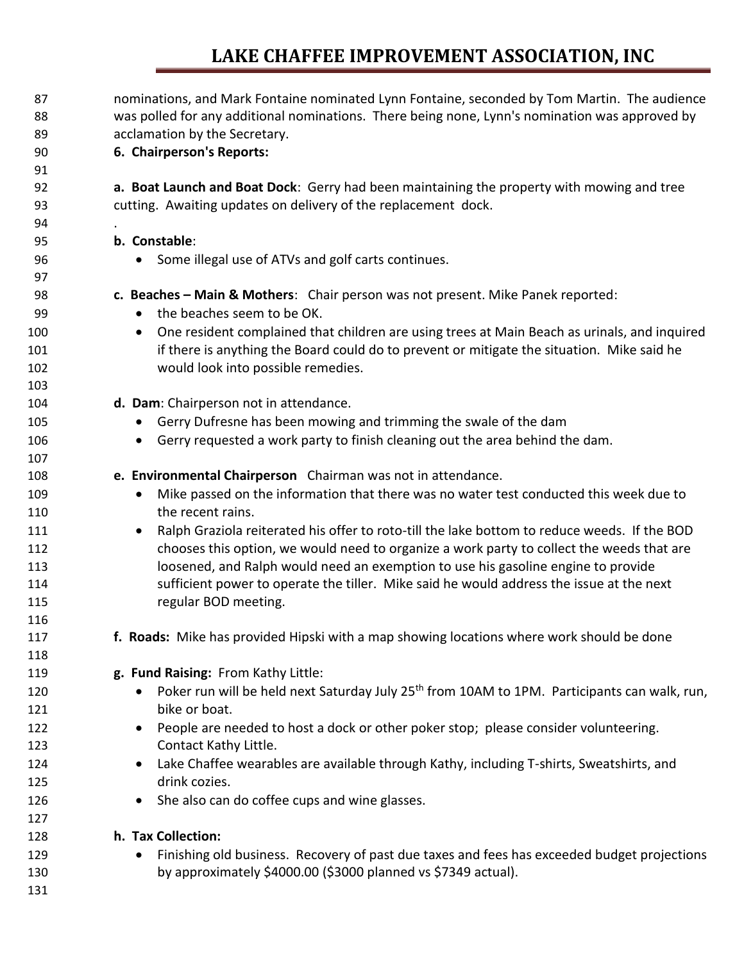## **LAKE CHAFFEE IMPROVEMENT ASSOCIATION, INC**

| 87  | nominations, and Mark Fontaine nominated Lynn Fontaine, seconded by Tom Martin. The audience                          |
|-----|-----------------------------------------------------------------------------------------------------------------------|
| 88  | was polled for any additional nominations. There being none, Lynn's nomination was approved by                        |
| 89  | acclamation by the Secretary.                                                                                         |
| 90  | 6. Chairperson's Reports:                                                                                             |
| 91  |                                                                                                                       |
| 92  | a. Boat Launch and Boat Dock: Gerry had been maintaining the property with mowing and tree                            |
| 93  | cutting. Awaiting updates on delivery of the replacement dock.                                                        |
| 94  |                                                                                                                       |
| 95  | b. Constable:                                                                                                         |
| 96  | Some illegal use of ATVs and golf carts continues.                                                                    |
| 97  |                                                                                                                       |
| 98  | c. Beaches - Main & Mothers: Chair person was not present. Mike Panek reported:                                       |
| 99  | the beaches seem to be OK.<br>$\bullet$                                                                               |
| 100 | One resident complained that children are using trees at Main Beach as urinals, and inquired<br>$\bullet$             |
| 101 | if there is anything the Board could do to prevent or mitigate the situation. Mike said he                            |
| 102 | would look into possible remedies.                                                                                    |
| 103 |                                                                                                                       |
| 104 | d. Dam: Chairperson not in attendance.                                                                                |
| 105 | Gerry Dufresne has been mowing and trimming the swale of the dam<br>$\bullet$                                         |
| 106 | Gerry requested a work party to finish cleaning out the area behind the dam.                                          |
| 107 |                                                                                                                       |
| 108 | e. Environmental Chairperson Chairman was not in attendance.                                                          |
| 109 | Mike passed on the information that there was no water test conducted this week due to<br>$\bullet$                   |
| 110 | the recent rains.                                                                                                     |
| 111 | Ralph Graziola reiterated his offer to roto-till the lake bottom to reduce weeds. If the BOD<br>$\bullet$             |
| 112 | chooses this option, we would need to organize a work party to collect the weeds that are                             |
| 113 | loosened, and Ralph would need an exemption to use his gasoline engine to provide                                     |
| 114 | sufficient power to operate the tiller. Mike said he would address the issue at the next                              |
| 115 | regular BOD meeting.                                                                                                  |
| 116 |                                                                                                                       |
| 117 | f. Roads: Mike has provided Hipski with a map showing locations where work should be done                             |
| 118 |                                                                                                                       |
| 119 | g. Fund Raising: From Kathy Little:                                                                                   |
| 120 | Poker run will be held next Saturday July 25 <sup>th</sup> from 10AM to 1PM. Participants can walk, run,<br>$\bullet$ |
| 121 | bike or boat.                                                                                                         |
| 122 | People are needed to host a dock or other poker stop; please consider volunteering.<br>$\bullet$                      |
| 123 | Contact Kathy Little.                                                                                                 |
| 124 | Lake Chaffee wearables are available through Kathy, including T-shirts, Sweatshirts, and<br>$\bullet$                 |
| 125 | drink cozies.                                                                                                         |
| 126 | She also can do coffee cups and wine glasses.<br>$\bullet$                                                            |
| 127 |                                                                                                                       |
| 128 | h. Tax Collection:                                                                                                    |
| 129 | Finishing old business. Recovery of past due taxes and fees has exceeded budget projections                           |
| 130 | by approximately \$4000.00 (\$3000 planned vs \$7349 actual).                                                         |
| 131 |                                                                                                                       |
|     |                                                                                                                       |